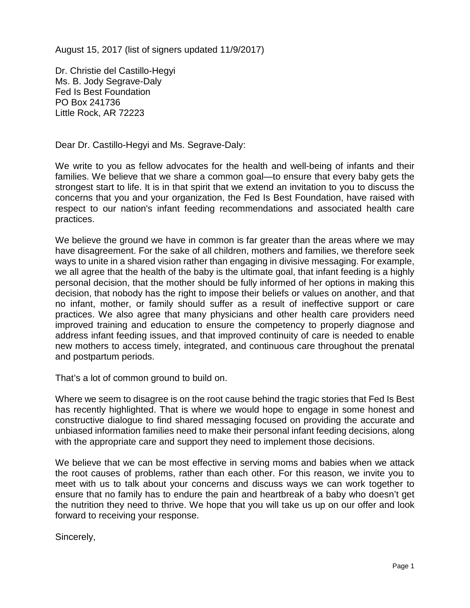August 15, 2017 (list of signers updated 11/9/2017)

Dr. Christie del Castillo-Hegyi Ms. B. Jody Segrave-Daly Fed Is Best Foundation PO Box 241736 Little Rock, AR 72223

Dear Dr. Castillo-Hegyi and Ms. Segrave-Daly:

We write to you as fellow advocates for the health and well-being of infants and their families. We believe that we share a common goal—to ensure that every baby gets the strongest start to life. It is in that spirit that we extend an invitation to you to discuss the concerns that you and your organization, the Fed Is Best Foundation, have raised with respect to our nation's infant feeding recommendations and associated health care practices.

We believe the ground we have in common is far greater than the areas where we may have disagreement. For the sake of all children, mothers and families, we therefore seek ways to unite in a shared vision rather than engaging in divisive messaging. For example, we all agree that the health of the baby is the ultimate goal, that infant feeding is a highly personal decision, that the mother should be fully informed of her options in making this decision, that nobody has the right to impose their beliefs or values on another, and that no infant, mother, or family should suffer as a result of ineffective support or care practices. We also agree that many physicians and other health care providers need improved training and education to ensure the competency to properly diagnose and address infant feeding issues, and that improved continuity of care is needed to enable new mothers to access timely, integrated, and continuous care throughout the prenatal and postpartum periods.

That's a lot of common ground to build on.

Where we seem to disagree is on the root cause behind the tragic stories that Fed Is Best has recently highlighted. That is where we would hope to engage in some honest and constructive dialogue to find shared messaging focused on providing the accurate and unbiased information families need to make their personal infant feeding decisions, along with the appropriate care and support they need to implement those decisions.

We believe that we can be most effective in serving moms and babies when we attack the root causes of problems, rather than each other. For this reason, we invite you to meet with us to talk about your concerns and discuss ways we can work together to ensure that no family has to endure the pain and heartbreak of a baby who doesn't get the nutrition they need to thrive. We hope that you will take us up on our offer and look forward to receiving your response.

Sincerely,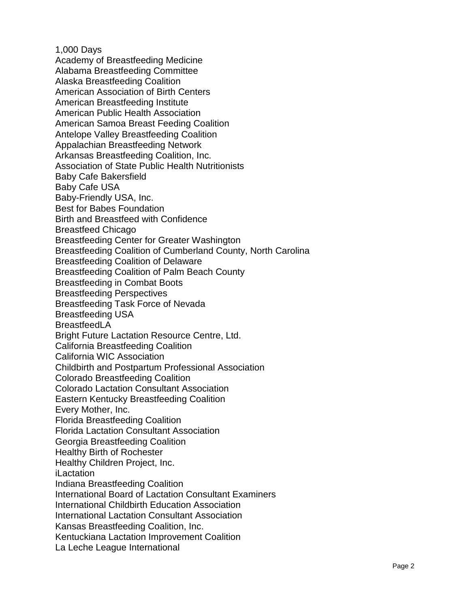1,000 Days Academy of Breastfeeding Medicine Alabama Breastfeeding Committee Alaska Breastfeeding Coalition American Association of Birth Centers American Breastfeeding Institute American P u blic Health Association American Samoa Breast Feeding Coalition Antelope Valley Breastfeeding Coalition Appalachian Breastfeeding Network Arkansas Breastfeeding Coalition, Inc. Association of State Public Health Nutritionists Baby Cafe Bakersfield Baby Cafe USA Baby -Friendly USA, Inc. Best for Babes Foundation Birth and Breastfeed with Confidence Breastfeed Chicago Breastfeeding Center for Greater Washington Breastfeeding Coalition of Cumberland County, North Carolina Breastfeeding Coalition of Delaware Breastfeeding Coalition of Palm Beach County Breastfeeding in Combat Boots Breastfeeding Perspectives Breastfeeding Task Force of Nevada Breastfeeding USA **BreastfeedLA** Bright Future Lactation Resource Centre, Ltd. California Breastfeeding Coalition California WIC Association Childbirth and Postpartum Professional Association Colorado Breastfeeding Coalition Colorado Lactation Consultant Association Eastern Kentucky Breastfeeding Coalition Every Mother, Inc. Florida Breastfeeding Coalition Florida Lactation Consultant Association Georgia Breastfeeding Coalition Healthy Birth of Rochester Healthy Children Project, Inc. iLactation Indiana Breastfeeding Coalition International Board of Lactation Consultant Examiners International Childbirth Education Association International Lactation Consultant Association Kansas Breastfeeding Coalition, Inc. Kentuckiana Lactation Improvement Coalition La Leche League International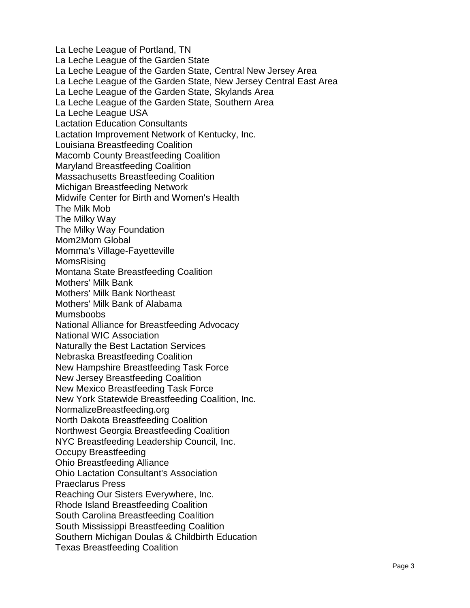La Leche League of Portland, TN La Leche League of the Garden State La Leche League of the Garden State, Central New Jersey Area La Leche League of the Garden State, New Jersey Central East Area La Leche League of the Garden State, Skylands Area La Leche League of the Garden State, Southern Area La Leche League USA Lactation Education Consultants Lactation Improvement Network of Kentucky, Inc. Louisiana Breastfeeding Coalition Macomb County Breastfeeding Coalition Maryland Breastfeeding Coalition Massachusetts Breastfeeding Coalition Michigan Breastfeeding Network Midwife Center for Birth and Women's Health The Milk Mob The Milky Way The Milky Way Foundation Mom2Mom Global Momma's Village-Fayetteville MomsRising Montana State Breastfeeding Coalition Mothers' Milk Bank Mothers' Milk Bank Northeast Mothers' Milk Bank of Alabama Mumsboobs National Alliance for Breastfeeding Advocacy National WIC Association Naturally the Best Lactation Services Nebraska Breastfeeding Coalition New Hampshire Breastfeeding Task Force New Jersey Breastfeeding Coalition New Mexico Breastfeeding Task Force New York Statewide Breastfeeding Coalition, Inc. NormalizeBreastfeeding.org North Dakota Breastfeeding Coalition Northwest Georgia Breastfeeding Coalition NYC Breastfeeding Leadership Council, Inc. Occupy Breastfeeding Ohio Breastfeeding Alliance Ohio Lactation Consultant's Association Praeclarus Press Reaching Our Sisters Everywhere, Inc. Rhode Island Breastfeeding Coalition South Carolina Breastfeeding Coalition South Mississippi Breastfeeding Coalition Southern Michigan Doulas & Childbirth Education Texas Breastfeeding Coalition